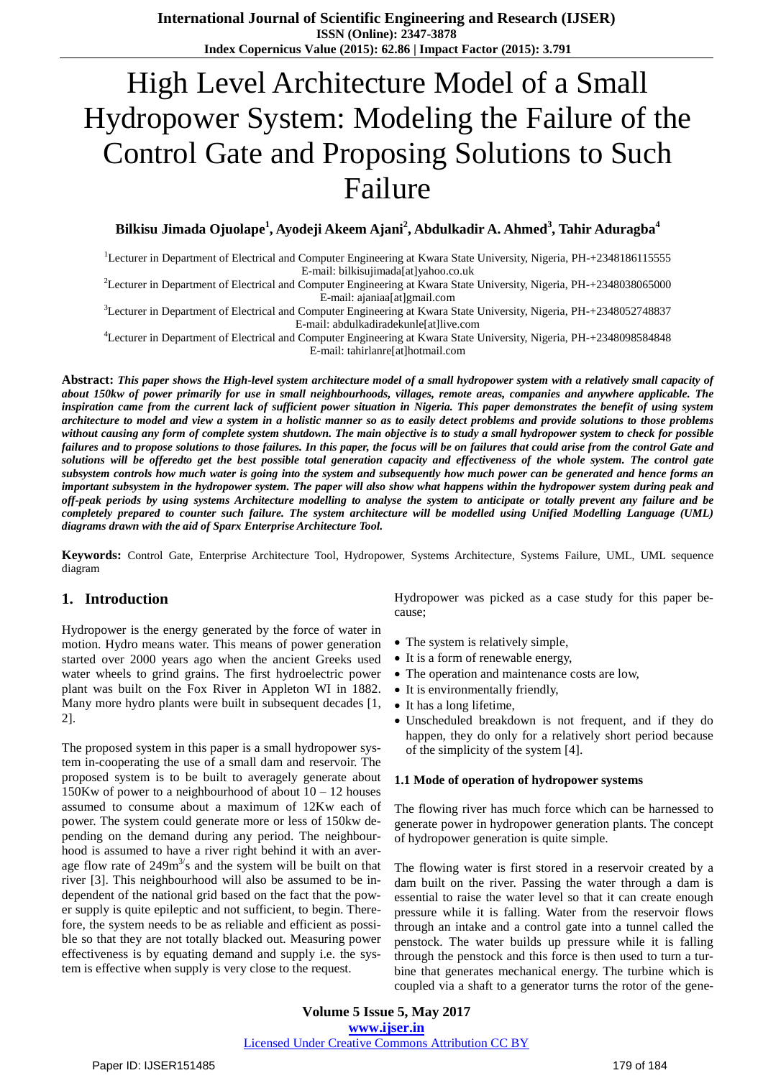# High Level Architecture Model of a Small Hydropower System: Modeling the Failure of the Control Gate and Proposing Solutions to Such Failure

# **Bilkisu Jimada Ojuolape<sup>1</sup> , Ayodeji Akeem Ajani<sup>2</sup> , Abdulkadir A. Ahmed<sup>3</sup> , Tahir Aduragba<sup>4</sup>**

<sup>1</sup>Lecturer in Department of Electrical and Computer Engineering at Kwara State University, Nigeria, PH-+2348186115555 E-mail: bilkisujimada[at]yahoo.co.uk

<sup>2</sup>Lecturer in Department of Electrical and Computer Engineering at Kwara State University, Nigeria, PH-+2348038065000 E-mail: ajaniaa[at]gmail.com

<sup>3</sup>Lecturer in Department of Electrical and Computer Engineering at Kwara State University, Nigeria, PH-+2348052748837 E-mail: abdulkadiradekunle[at]live.com

<sup>4</sup>Lecturer in Department of Electrical and Computer Engineering at Kwara State University, Nigeria, PH-+2348098584848 E-mail: tahirlanre[at]hotmail.com

Abstract: This paper shows the High-level system architecture model of a small hydropower system with a relatively small capacity of about 150kw of power primarily for use in small neighbourhoods, villages, remote areas, companies and anywhere applicable. The inspiration came from the current lack of sufficient power situation in Nigeria. This paper demonstrates the benefit of using system architecture to model and view a system in a holistic manner so as to easily detect problems and provide solutions to those problems without causing any form of complete system shutdown. The main objective is to study a small hydropower system to check for possible failures and to propose solutions to those failures. In this paper, the focus will be on failures that could arise from the control Gate and solutions will be offeredto get the best possible total generation capacity and effectiveness of the whole system. The control gate subsystem controls how much water is going into the system and subsequently how much power can be generated and hence forms an important subsystem in the hydropower system. The paper will also show what happens within the hydropower system during peak and off-peak periods by using systems Architecture modelling to analyse the system to anticipate or totally prevent any failure and be completely prepared to counter such failure. The system architecture will be modelled using Unified Modelling Language (UML) *diagrams drawn with the aid of Sparx Enterprise Architecture Tool.*

**Keywords:** Control Gate, Enterprise Architecture Tool, Hydropower, Systems Architecture, Systems Failure, UML, UML sequence diagram

## **1. Introduction**

Hydropower is the energy generated by the force of water in motion. Hydro means water. This means of power generation started over 2000 years ago when the ancient Greeks used water wheels to grind grains. The first hydroelectric power plant was built on the Fox River in Appleton WI in 1882. Many more hydro plants were built in subsequent decades [1, 2].

The proposed system in this paper is a small hydropower system in-cooperating the use of a small dam and reservoir. The proposed system is to be built to averagely generate about 150Kw of power to a neighbourhood of about  $10 - 12$  houses assumed to consume about a maximum of 12Kw each of power. The system could generate more or less of 150kw depending on the demand during any period. The neighbourhood is assumed to have a river right behind it with an average flow rate of  $249m<sup>3</sup>/s$  and the system will be built on that river [3]. This neighbourhood will also be assumed to be independent of the national grid based on the fact that the power supply is quite epileptic and not sufficient, to begin. Therefore, the system needs to be as reliable and efficient as possible so that they are not totally blacked out. Measuring power effectiveness is by equating demand and supply i.e. the system is effective when supply is very close to the request.

Hydropower was picked as a case study for this paper because;

- The system is relatively simple,
- It is a form of renewable energy,
- The operation and maintenance costs are low,
- It is environmentally friendly,
- It has a long lifetime,
- Unscheduled breakdown is not frequent, and if they do happen, they do only for a relatively short period because of the simplicity of the system [4].

#### **1.1 Mode of operation of hydropower systems**

The flowing river has much force which can be harnessed to generate power in hydropower generation plants. The concept of hydropower generation is quite simple.

The flowing water is first stored in a reservoir created by a dam built on the river. Passing the water through a dam is essential to raise the water level so that it can create enough pressure while it is falling. Water from the reservoir flows through an intake and a control gate into a tunnel called the penstock. The water builds up pressure while it is falling through the penstock and this force is then used to turn a turbine that generates mechanical energy. The turbine which is coupled via a shaft to a generator turns the rotor of the gene-

**Volume 5 Issue 5, May 2017 www.ijser.in** Licensed Under Creative Commons Attribution CC BY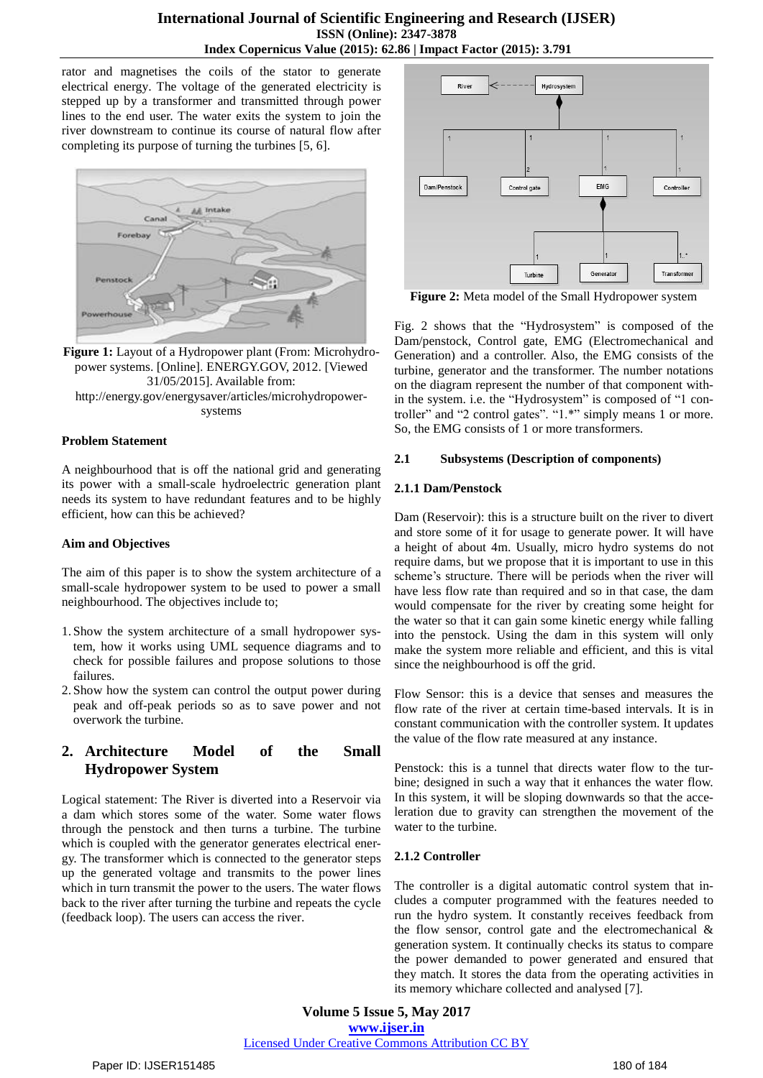rator and magnetises the coils of the stator to generate electrical energy. The voltage of the generated electricity is stepped up by a transformer and transmitted through power lines to the end user. The water exits the system to join the river downstream to continue its course of natural flow after completing its purpose of turning the turbines [5, 6].



**Figure 1:** Layout of a Hydropower plant (From: Microhydropower systems. [Online]. ENERGY.GOV, 2012. [Viewed 31/05/2015]. Available from: http://energy.gov/energysaver/articles/microhydropowersystems

#### **Problem Statement**

A neighbourhood that is off the national grid and generating its power with a small-scale hydroelectric generation plant needs its system to have redundant features and to be highly efficient, how can this be achieved?

#### **Aim and Objectives**

The aim of this paper is to show the system architecture of a small-scale hydropower system to be used to power a small neighbourhood. The objectives include to;

- 1. Show the system architecture of a small hydropower system, how it works using UML sequence diagrams and to check for possible failures and propose solutions to those failures.
- 2. Show how the system can control the output power during peak and off-peak periods so as to save power and not overwork the turbine.

# **2. Architecture Model of the Small Hydropower System**

Logical statement: The River is diverted into a Reservoir via a dam which stores some of the water. Some water flows through the penstock and then turns a turbine. The turbine which is coupled with the generator generates electrical energy. The transformer which is connected to the generator steps up the generated voltage and transmits to the power lines which in turn transmit the power to the users. The water flows back to the river after turning the turbine and repeats the cycle (feedback loop). The users can access the river.



**Figure 2:** Meta model of the Small Hydropower system

Fig. 2 shows that the "Hydrosystem" is composed of the Dam/penstock, Control gate, EMG (Electromechanical and Generation) and a controller. Also, the EMG consists of the turbine, generator and the transformer. The number notations on the diagram represent the number of that component within the system. i.e. the "Hydrosystem" is composed of "1 controller" and "2 control gates". "1.\*" simply means 1 or more. So, the EMG consists of 1 or more transformers.

## **2.1 Subsystems (Description of components)**

## **2.1.1 Dam/Penstock**

Dam (Reservoir): this is a structure built on the river to divert and store some of it for usage to generate power. It will have a height of about 4m. Usually, micro hydro systems do not require dams, but we propose that it is important to use in this scheme's structure. There will be periods when the river will have less flow rate than required and so in that case, the dam would compensate for the river by creating some height for the water so that it can gain some kinetic energy while falling into the penstock. Using the dam in this system will only make the system more reliable and efficient, and this is vital since the neighbourhood is off the grid.

Flow Sensor: this is a device that senses and measures the flow rate of the river at certain time-based intervals. It is in constant communication with the controller system. It updates the value of the flow rate measured at any instance.

Penstock: this is a tunnel that directs water flow to the turbine; designed in such a way that it enhances the water flow. In this system, it will be sloping downwards so that the acceleration due to gravity can strengthen the movement of the water to the turbine.

## **2.1.2 Controller**

The controller is a digital automatic control system that includes a computer programmed with the features needed to run the hydro system. It constantly receives feedback from the flow sensor, control gate and the electromechanical  $\&$ generation system. It continually checks its status to compare the power demanded to power generated and ensured that they match. It stores the data from the operating activities in its memory whichare collected and analysed [7].

**Volume 5 Issue 5, May 2017 www.ijser.in** Licensed Under Creative Commons Attribution CC BY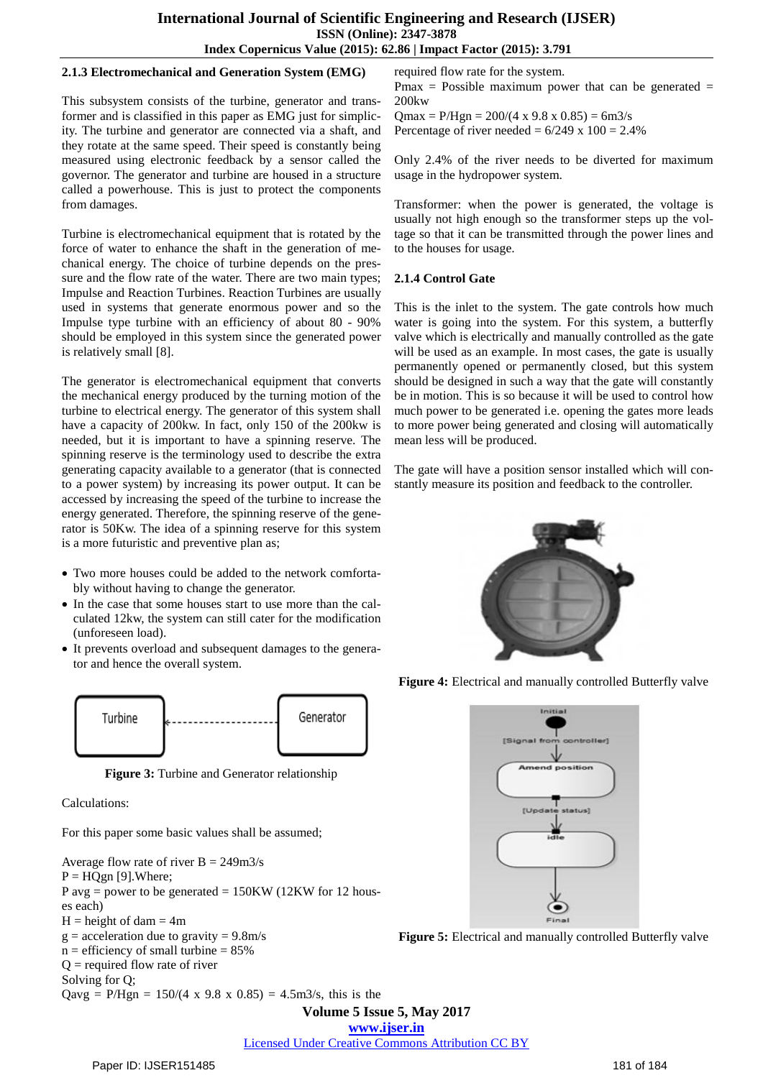#### **2.1.3 Electromechanical and Generation System (EMG)**

This subsystem consists of the turbine, generator and transformer and is classified in this paper as EMG just for simplicity. The turbine and generator are connected via a shaft, and they rotate at the same speed. Their speed is constantly being measured using electronic feedback by a sensor called the governor. The generator and turbine are housed in a structure called a powerhouse. This is just to protect the components from damages.

Turbine is electromechanical equipment that is rotated by the force of water to enhance the shaft in the generation of mechanical energy. The choice of turbine depends on the pressure and the flow rate of the water. There are two main types; Impulse and Reaction Turbines. Reaction Turbines are usually used in systems that generate enormous power and so the Impulse type turbine with an efficiency of about 80 - 90% should be employed in this system since the generated power is relatively small [8].

The generator is electromechanical equipment that converts the mechanical energy produced by the turning motion of the turbine to electrical energy. The generator of this system shall have a capacity of 200kw. In fact, only 150 of the 200kw is needed, but it is important to have a spinning reserve. The spinning reserve is the terminology used to describe the extra generating capacity available to a generator (that is connected to a power system) by increasing its power output. It can be accessed by increasing the speed of the turbine to increase the energy generated. Therefore, the spinning reserve of the generator is 50Kw. The idea of a spinning reserve for this system is a more futuristic and preventive plan as;

- Two more houses could be added to the network comfortably without having to change the generator.
- In the case that some houses start to use more than the calculated 12kw, the system can still cater for the modification (unforeseen load).
- It prevents overload and subsequent damages to the generator and hence the overall system.



**Figure 3:** Turbine and Generator relationship

Calculations:

For this paper some basic values shall be assumed;

Average flow rate of river  $B = 249 \text{ m}^2/\text{s}$  $P = HOgn [9]$ . Where; P avg = power to be generated =  $150KW(12KW)$  for 12 houses each)  $H = height of$  dam = 4m  $g = acceleration$  due to gravity = 9.8m/s  $n =$  efficiency of small turbine  $= 85\%$  $Q$  = required flow rate of river Solving for Q; Qavg = P/Hgn =  $150/(4 \times 9.8 \times 0.85) = 4.5 \text{m}^3/\text{s}$ , this is the

required flow rate for the system.

Pmax = Possible maximum power that can be generated  $=$ 200kw

 $Qmax = P/Hgn = 200/(4 \times 9.8 \times 0.85) = 6 \frac{m3}{s}$ Percentage of river needed =  $6/249 \times 100 = 2.4\%$ 

Only 2.4% of the river needs to be diverted for maximum usage in the hydropower system.

Transformer: when the power is generated, the voltage is usually not high enough so the transformer steps up the voltage so that it can be transmitted through the power lines and to the houses for usage.

#### **2.1.4 Control Gate**

This is the inlet to the system. The gate controls how much water is going into the system. For this system, a butterfly valve which is electrically and manually controlled as the gate will be used as an example. In most cases, the gate is usually permanently opened or permanently closed, but this system should be designed in such a way that the gate will constantly be in motion. This is so because it will be used to control how much power to be generated i.e. opening the gates more leads to more power being generated and closing will automatically mean less will be produced.

The gate will have a position sensor installed which will constantly measure its position and feedback to the controller.



**Figure 4:** Electrical and manually controlled Butterfly valve



**Figure 5:** Electrical and manually controlled Butterfly valve

**Volume 5 Issue 5, May 2017**

**www.ijser.in**

Licensed Under Creative Commons Attribution CC BY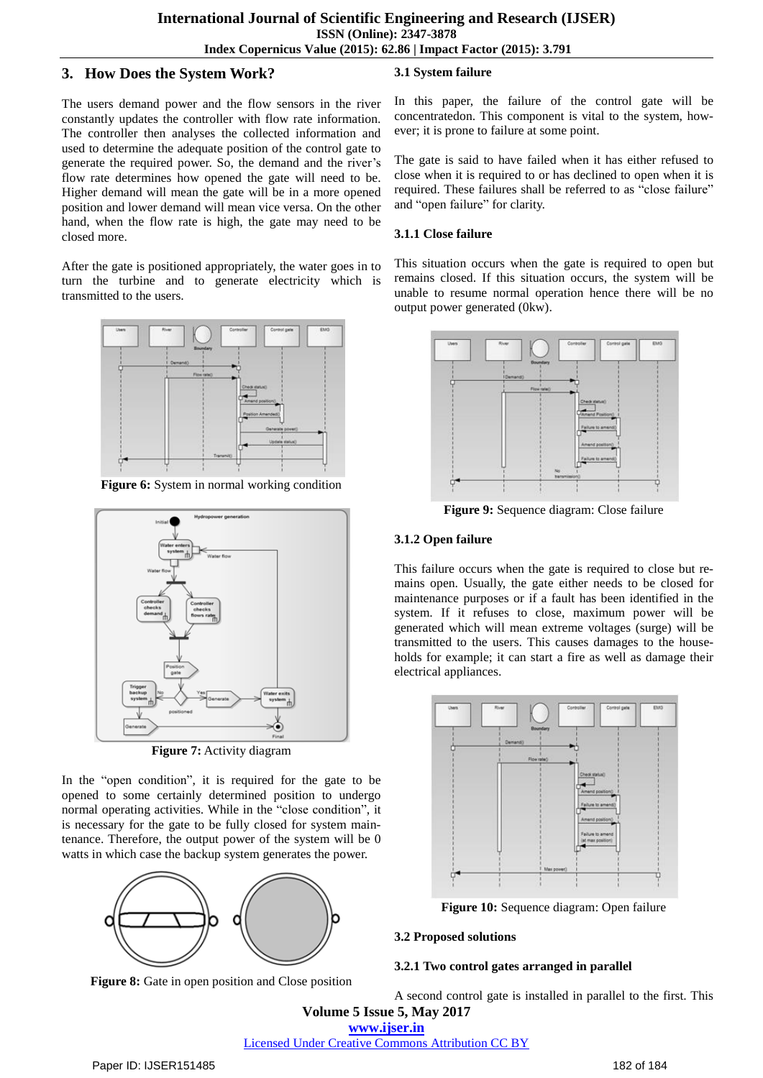# **3. How Does the System Work?**

The users demand power and the flow sensors in the river constantly updates the controller with flow rate information. The controller then analyses the collected information and used to determine the adequate position of the control gate to generate the required power. So, the demand and the river's flow rate determines how opened the gate will need to be. Higher demand will mean the gate will be in a more opened position and lower demand will mean vice versa. On the other hand, when the flow rate is high, the gate may need to be closed more.

After the gate is positioned appropriately, the water goes in to turn the turbine and to generate electricity which is transmitted to the users.



**Figure 6:** System in normal working condition



**Figure 7:** Activity diagram

In the "open condition", it is required for the gate to be opened to some certainly determined position to undergo normal operating activities. While in the "close condition", it is necessary for the gate to be fully closed for system maintenance. Therefore, the output power of the system will be 0 watts in which case the backup system generates the power.



**Figure 8:** Gate in open position and Close position

# **3.1 System failure**

In this paper, the failure of the control gate will be concentratedon. This component is vital to the system, however; it is prone to failure at some point.

The gate is said to have failed when it has either refused to close when it is required to or has declined to open when it is required. These failures shall be referred to as "close failure" and "open failure" for clarity.

#### **3.1.1 Close failure**

This situation occurs when the gate is required to open but remains closed. If this situation occurs, the system will be unable to resume normal operation hence there will be no output power generated (0kw).



**Figure 9:** Sequence diagram: Close failure

## **3.1.2 Open failure**

This failure occurs when the gate is required to close but remains open. Usually, the gate either needs to be closed for maintenance purposes or if a fault has been identified in the system. If it refuses to close, maximum power will be generated which will mean extreme voltages (surge) will be transmitted to the users. This causes damages to the households for example; it can start a fire as well as damage their electrical appliances.



**Figure 10:** Sequence diagram: Open failure

#### **3.2 Proposed solutions**

#### **3.2.1 Two control gates arranged in parallel**

**Volume 5 Issue 5, May 2017** A second control gate is installed in parallel to the first. This

**www.ijser.in**

# Licensed Under Creative Commons Attribution CC BY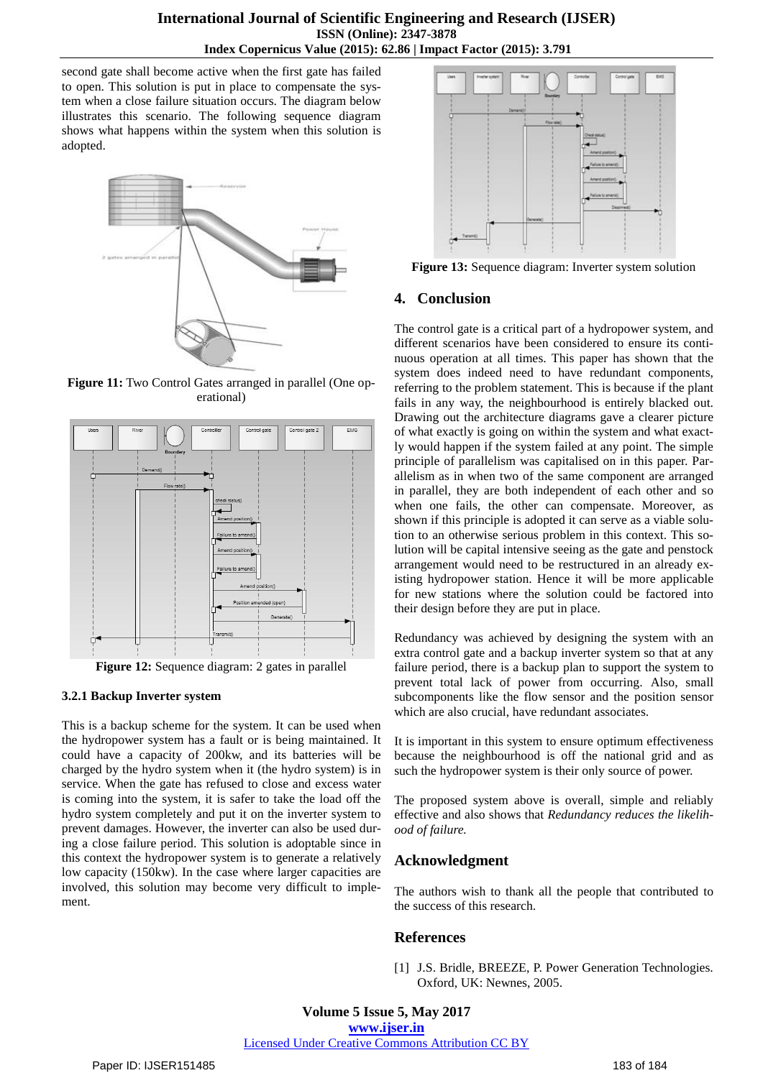second gate shall become active when the first gate has failed to open. This solution is put in place to compensate the system when a close failure situation occurs. The diagram below illustrates this scenario. The following sequence diagram shows what happens within the system when this solution is adopted.



**Figure 11:** Two Control Gates arranged in parallel (One operational)



**Figure 12:** Sequence diagram: 2 gates in parallel

#### **3.2.1 Backup Inverter system**

This is a backup scheme for the system. It can be used when the hydropower system has a fault or is being maintained. It could have a capacity of 200kw, and its batteries will be charged by the hydro system when it (the hydro system) is in service. When the gate has refused to close and excess water is coming into the system, it is safer to take the load off the hydro system completely and put it on the inverter system to prevent damages. However, the inverter can also be used during a close failure period. This solution is adoptable since in this context the hydropower system is to generate a relatively low capacity (150kw). In the case where larger capacities are involved, this solution may become very difficult to implement.



**Figure 13:** Sequence diagram: Inverter system solution

#### **4. Conclusion**

The control gate is a critical part of a hydropower system, and different scenarios have been considered to ensure its continuous operation at all times. This paper has shown that the system does indeed need to have redundant components, referring to the problem statement. This is because if the plant fails in any way, the neighbourhood is entirely blacked out. Drawing out the architecture diagrams gave a clearer picture of what exactly is going on within the system and what exactly would happen if the system failed at any point. The simple principle of parallelism was capitalised on in this paper. Parallelism as in when two of the same component are arranged in parallel, they are both independent of each other and so when one fails, the other can compensate. Moreover, as shown if this principle is adopted it can serve as a viable solution to an otherwise serious problem in this context. This solution will be capital intensive seeing as the gate and penstock arrangement would need to be restructured in an already existing hydropower station. Hence it will be more applicable for new stations where the solution could be factored into their design before they are put in place.

Redundancy was achieved by designing the system with an extra control gate and a backup inverter system so that at any failure period, there is a backup plan to support the system to prevent total lack of power from occurring. Also, small subcomponents like the flow sensor and the position sensor which are also crucial, have redundant associates.

It is important in this system to ensure optimum effectiveness because the neighbourhood is off the national grid and as such the hydropower system is their only source of power.

The proposed system above is overall, simple and reliably effective and also shows that *Redundancy reduces the likelihood of failure.*

## **Acknowledgment**

The authors wish to thank all the people that contributed to the success of this research.

## **References**

[1] J.S. Bridle, BREEZE, P. Power Generation Technologies. Oxford, UK: Newnes, 2005.

**Volume 5 Issue 5, May 2017 www.ijser.in** Licensed Under Creative Commons Attribution CC BY